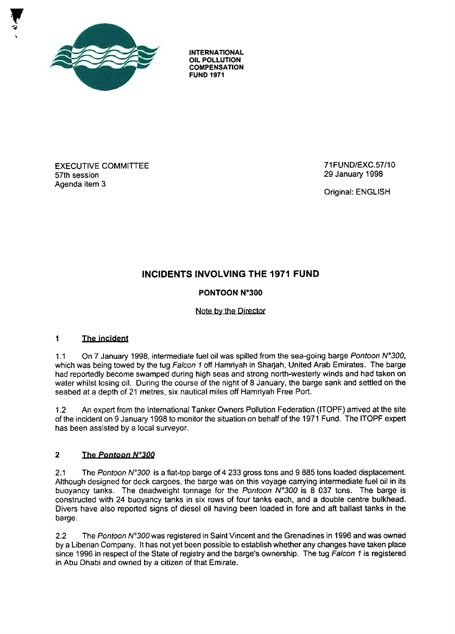

**INTERNATIONAL OIL POLLUTION COMPENSATIO N FUND 197 <sup>1</sup>**

**EXECUTIVE COMMITTEE** 57th session Agenda item 3

71 FUND/EXC.57/10 29 January 1998

Original: ENGLISH

# **INCIDENTS INVOLVING THE 1971 FUND**

# **PONTOON N°300**

# Note by the Director

#### $\blacksquare$ The incident

1.1 On 7 January 1998, intermediate fuel oil was spilled from the sea-going barge Pontoon N°300, which was being towed by the tug Falcon 1 off Hamriyah in Sharjah, United Arab Emirates. The barge had reportedly become swamped during high seas and strong north-westerly winds and had taken on water whilst losing oil. During the course of the night of 8 January, the barge sank and settled on the seabed at a depth of 21 metres, six nautical miles off Hamriyah Free Port.

1.2 An expert from the International Tanker Owners Pollution Federation (ITOPF) arrived at the site of the incident on 9 January 1998 to monitor the situation on behalf of the 1971 Fund . The ITOPF expert has been assisted by a local surveyor.

# **2 The Pontoon N0 300**

2.1 The Pontoon N°300 is a flat-top barge of 4 233 gross tons and 9 885 tons loaded displacement. Although designed for deck cargoes, the barge was on this voyage carrying intermediate fuel oil in its buoyancy tanks. The deadweight tonnage for the Pontoon  $N^{\circ}300$  is 8 037 tons. The barge is constructed with 24 buoyancy tanks in six rows of four tanks each, and a double centre bulkhead . Divers have also reported signs of diesel oil having been loaded in fore and aft ballast tanks in the barge.

2.2 The Pontoon N°300 was registered in Saint Vincent and the Grenadines in 1996 and was owned by a Liberian Company. It has not yet been possible to establish whether any changes have taken place since 1996 in respect of the State of registry and the barge's ownership. The tug Falcon 1 is registered in Abu Dhabi and owned by a citizen of that Emirate.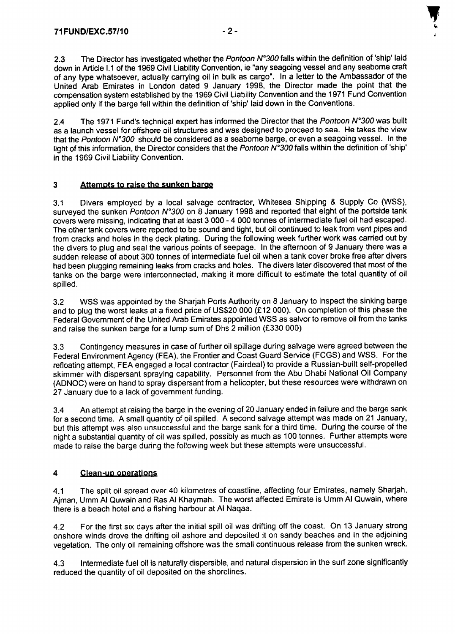2.3 The Director has investigated whether the Pontoon N°300 falls within the definition of 'ship' laid down in Article I.1 of the 1969 Civil Liability Convention, ie "any seagoing vessel and any seaborne craft of any type whatsoever, actually carrying oil in bulk as cargo". In a letter to the Ambassador of the United Arab Emirates in London dated 9 January 1998, the Director made the point that the compensation system established by the 1969 Civil Liability Convention and the 1971 Fund Convention applied only if the barge fell within the definition of 'ship' laid down in the Conventions .

2.4 The 1971 Fund's technical expert has informed the Director that the Pontoon N°300 was built as a launch vessel for offshore oil structures and was designed to proceed to sea . He takes the view that the Pontoon N°300 should be considered as a seaborne barge, or even a seagoing vessel. In the light of this information, the Director considers that the Pontoon  $N^{\circ}300$  falls within the definition of 'ship' in the 1969 Civil Liability Convention.

# **3 Attempts to raise the sunken barae**

3 .1 Divers employed by a local salvage contractor, Whitesea Shipping & Supply Co (WSS) , surveyed the sunken Pontoon N°300 on 8 January 1998 and reported that eight of the portside tank covers were missing, indicating that at least 3 000 - 4 000 tonnes of intermediate fuel oil had escaped . The other tank covers were reported to be sound and tight, but oil continued to leak from vent pipes and from cracks and holes in the deck plating. During the following week further work was carried out by the divers to plug and seal the various points of seepage. In the afternoon of 9 January there was a sudden release of about 300 tonnes of intermediate fuel oil when a tank cover broke free after divers had been plugging remaining leaks from cracks and holes. The divers later discovered that most of the tanks on the barge were interconnected, making it more difficult to estimate the total quantity of oil spilled.

3.2 WSS was appointed by the Sharjah Ports Authority on 8 January to inspect the sinking barge and to plug the worst leaks at a fixed price of US\$20 000 (£12 000). On completion of this phase the Federal Government of the United Arab Emirates appointed WSS as salvor to remove oil from the tanks and raise the sunken barge for a lump sum of Dhs 2 million (£330 000)

3.3 Contingency measures in case of further oil spillage during salvage were agreed between the Federal Environment Agency (FEA), the Frontier and Coast Guard Service (FCGS) and WSS . For the refloating attempt, FEA engaged a local contractor (Fairdeal) to provide a Russian-built self-propelled skimmer with dispersant spraying capability. Personnel from the Abu Dhabi National Oil Company (ADNOC) were on hand to spray dispersant from a helicopter, but these resources were withdrawn on 27 January due to a lack of government funding.

3.4 An attempt at raising the barge in the evening of 20 January ended in failure and the barge sank for a second time. A small quantity of oil spilled. A second salvage attempt was made on 21 January, but this attempt was also unsuccessful and the barge sank for a third time. During the course of the night a substantial quantity of oil was spilled, possibly as much as 100 tonnes . Further attempts were made to raise the barge during the following week but these attempts were unsuccessful .

# **4 Clean-uponeralions**

4.1 The spilt oil spread over 40 kilometres of coastline, affecting four Emirates, namely Sharjah, Ajman, Umm Al Quwain and Ras Al Khaymah. The worst affected Emirate is Umm Al Quwain, where there is a beach hotel and a fishing harbour at Al Naqaa .

4.2 For the first six days after the initial spill oil was drifting off the coast. On 13 January strong onshore winds drove the drifting oil ashore and deposited it on sandy beaches and in the adjoining vegetation. The only oil remaining offshore was the small continuous release from the sunken wreck.

4.3 Intermediate fuel oil is naturally dispersible, and natural dispersion in the surf zone significantly reduced the quantity of oil deposited on the shorelines.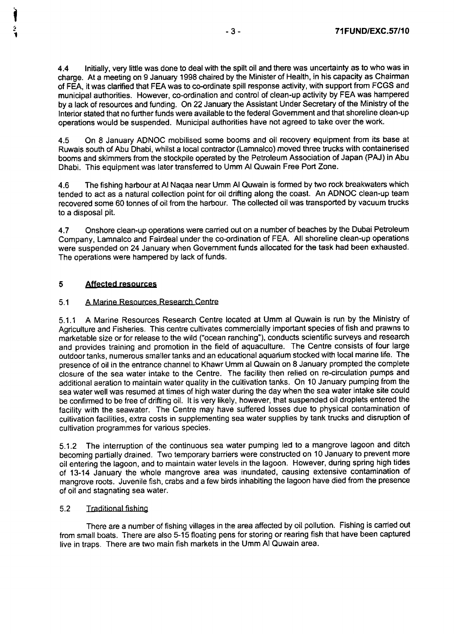**4.4 Initially, very little was done to deal with the spilt oil and there was uncertainty as to who was i <sup>n</sup>** charge. At a meeting on 9 January 1998 chaired by the Minister of Health, in his capacity as Chairman of FEA, it was clarified that FEA was to co-ordinate spill response activity, with support from FCGS and municipal authorities. However, co-ordination and control of clean-up activity by FEA was hampered **by a lack of resources and funding . On 22 January the Assistant Under Secretary of the Ministry of the** Interior stated that no further funds were available to the federal Government and that shoreline clean-up **operations would be suspended . Municipal authorities have not agreed to take over the work .**

4.5 On 8 January ADNOC mobilised some booms and oil recovery equipment from its base at Ruwais south of Abu Dhabi, whilst a local contractor (Lamnalco) moved three trucks with containerise d booms and skimmers from the stockpile operated by the Petroleum Association of Japan (PAJ) in Abu Dhabi. This equipment was later transferred to Umm Al Quwain Free Port Zone .

4.6 The fishing harbour at Al Naqaa near Umm Al Quwain is formed by two rock breakwaters which tended to act as a natural collection point for oil drifting along the coast. An ADNOC clean-up team recovered some 60 tonnes of oil from the harbour. The collected oil was transported by vacuum truck <sup>s</sup> to a disposal pit.

4.7 Onshore clean-up operations were carried out on a number of beaches by the Dubai Petroleum Company, Lamnalco and Fairdeal under the co-ordination of FEA. All shoreline clean-up operation <sup>s</sup> were suspended on 24 January when Government funds allocated for the task had been exhausted . The operations were hampered by lack of funds .

# **5 Affected resources**

### 51 A Marine Resources Research Centre

5.1 .1 A Marine Resources Research Centre located at Umm al Quwain is run by the Ministry of Agriculture and Fisheries. This centre cultivates commercially important species of fish and prawns to marketable size or for release to the wild ("ocean ranching"), conducts scientific surveys and research and provides training and promotion in the field of aquaculture. The Centre consists of four large outdoor tanks, numerous smaller tanks and an educational aquarium stocked with local marine life . The presence of oil in the entrance channel to Khawr Umm al Quwain on 8 January prompted the complete closure of the sea water intake to the Centre. The facility then relied on re-circulation pumps and additional aeration to maintain water quality in the cultivation tanks. On 10 January pumping from the sea water well was resumed at times of high water during the day when the sea water intake site could be confirmed to be free of drifting oil. It is very likely, however, that suspended oil droplets entered the facility with the seawater. The Centre may have suffered losses due to physical contamination of cultivation facilities, extra costs in supplementing sea water supplies by tank trucks and disruption of cultivation programmes for various species .

5.1.2 The interruption of the continuous sea water pumping led to a mangrove lagoon and ditch becoming partially drained. Two temporary barriers were constructed on 10 January to prevent more oil entering the lagoon, and to maintain water levels in the lagoon. However, during spring high tides of 13-14 January the whole mangrove area was inundated, causing extensive contamination of mangrove roots. Juvenile fish, crabs and a few birds inhabiting the lagoon have died from the presence of oil and stagnating sea water.

# 5.2 Traditional fishing

There are a number of fishing villages in the area affected by oil pollution. Fishing is carried out from small boats. There are also 5-15 floating pens for storing or rearing fish that have been captured live in traps. There are two main fish markets in the Umm Al Quwain area .